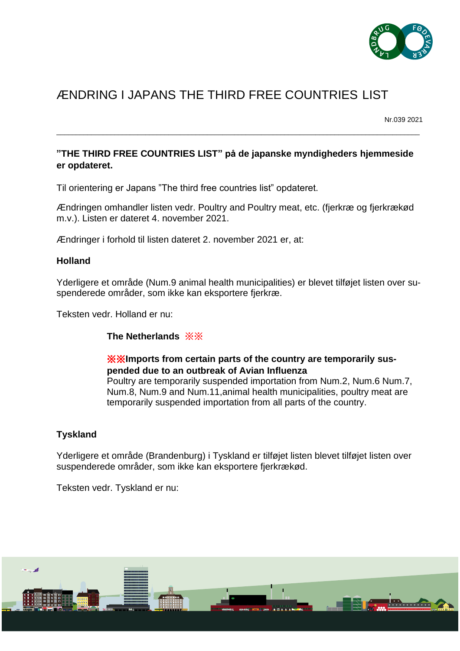

# ÆNDRING I JAPANS THE THIRD FREE COUNTRIES LIST

Nr.039 2021

# **"THE THIRD FREE COUNTRIES LIST" på de japanske myndigheders hjemmeside er opdateret.**

\_\_\_\_\_\_\_\_\_\_\_\_\_\_\_\_\_\_\_\_\_\_\_\_\_\_\_\_\_\_\_\_\_\_\_\_\_\_\_\_\_\_\_\_\_\_\_\_\_\_\_\_\_\_\_\_\_\_\_\_\_\_\_\_\_\_\_\_\_\_\_\_\_\_\_\_\_\_\_\_\_\_\_\_\_\_\_\_\_\_\_\_\_\_

Til orientering er Japans "The third free countries list" opdateret.

Ændringen omhandler listen vedr. Poultry and Poultry meat, etc. (fjerkræ og fjerkrækød m.v.). Listen er dateret 4. november 2021.

Ændringer i forhold til listen dateret 2. november 2021 er, at:

## **Holland**

Yderligere et område (Num.9 animal health municipalities) er blevet tilføjet listen over suspenderede områder, som ikke kan eksportere fjerkræ.

Teksten vedr. Holland er nu:

**The Netherlands** ※※

## ※※**Imports from certain parts of the country are temporarily suspended due to an outbreak of Avian Influenza**

Poultry are temporarily suspended importation from Num.2, Num.6 Num.7, Num.8, Num.9 and Num.11,animal health municipalities, poultry meat are temporarily suspended importation from all parts of the country.

## **Tyskland**

Yderligere et område (Brandenburg) i Tyskland er tilføjet listen blevet tilføjet listen over suspenderede områder, som ikke kan eksportere fjerkrækød.

Teksten vedr. Tyskland er nu: